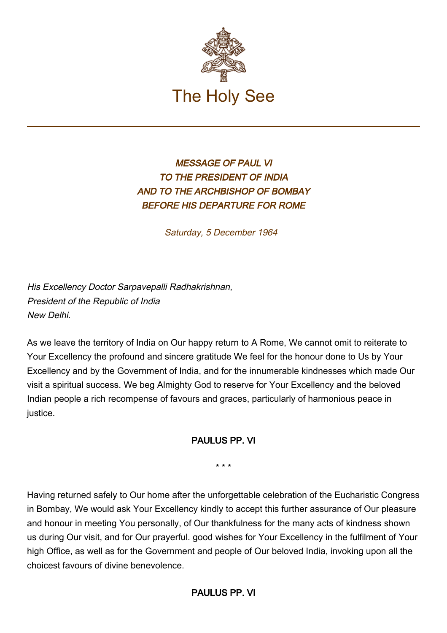

## MESSAGE OF PAUL VI TO THE PRESIDENT OF INDIA AND TO THE ARCHBISHOP OF BOMBAY BEFORE HIS DEPARTURE FOR ROME

Saturday, 5 December 1964

His Excellency Doctor Sarpavepalli Radhakrishnan, President of the Republic of India New Delhi.

As we leave the territory of India on Our happy return to A Rome, We cannot omit to reiterate to Your Excellency the profound and sincere gratitude We feel for the honour done to Us by Your Excellency and by the Government of India, and for the innumerable kindnesses which made Our visit a spiritual success. We beg Almighty God to reserve for Your Excellency and the beloved Indian people a rich recompense of favours and graces, particularly of harmonious peace in justice.

## PAULUS PP. VI

\* \* \*

Having returned safely to Our home after the unforgettable celebration of the Eucharistic Congress in Bombay, We would ask Your Excellency kindly to accept this further assurance of Our pleasure and honour in meeting You personally, of Our thankfulness for the many acts of kindness shown us during Our visit, and for Our prayerful. good wishes for Your Excellency in the fulfilment of Your high Office, as well as for the Government and people of Our beloved India, invoking upon all the choicest favours of divine benevolence.

PAULUS PP. VI